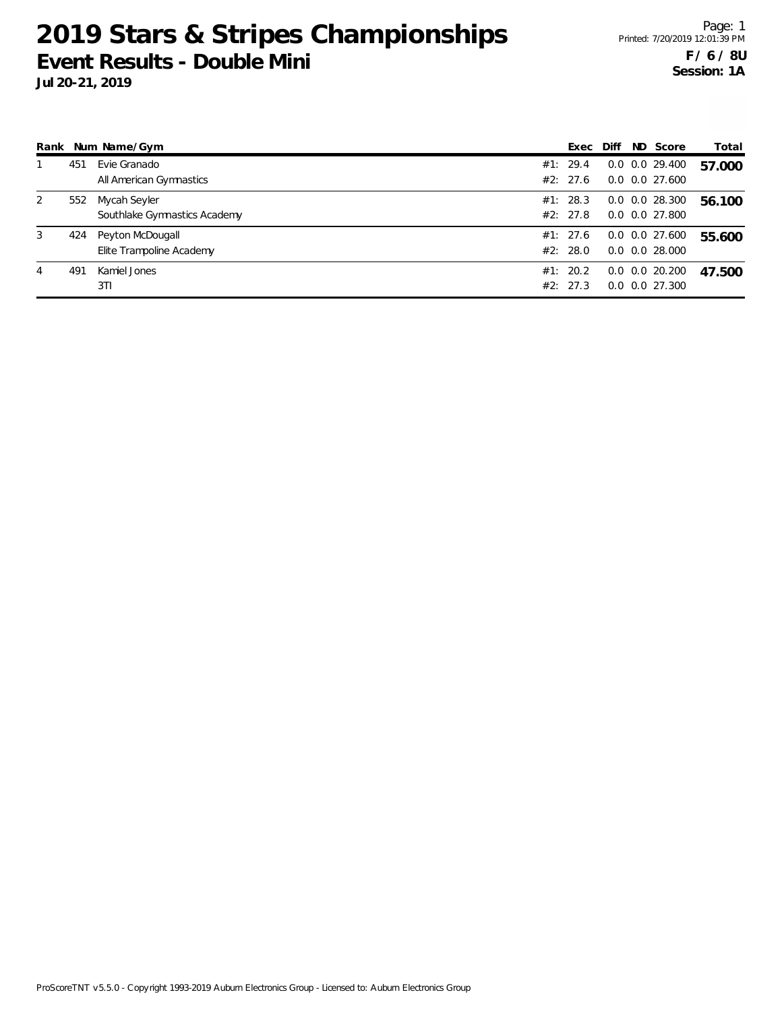| Rank |     | Num Name/Gym                 | Exec     | Diff | ND Score             | Total  |
|------|-----|------------------------------|----------|------|----------------------|--------|
|      | 451 | Evie Granado                 | #1: 29.4 |      | $0.0$ $0.0$ 29.400   | 57.000 |
|      |     | All American Gymnastics      | #2: 27.6 |      | $0.0$ $0.0$ 27.600   |        |
| 2    | 552 | Mycah Seyler                 | #1: 28.3 |      | $0.0$ $0.0$ 28.300   | 56.100 |
|      |     | Southlake Gymnastics Academy | #2: 27.8 |      | $0.0$ $0.0$ 27.800   |        |
| 3    | 424 | Peyton McDougall             | #1: 27.6 |      | $0.0$ $0.0$ 27.600   | 55.600 |
|      |     | Elite Trampoline Academy     | #2: 28.0 |      | $0.0$ $0.0$ 28.000   |        |
| 4    | 491 | Kamiel Jones                 | #1: 20.2 |      | $0.0$ $0.0$ $20.200$ | 47.500 |
|      |     | 3TI                          | #2: 27.3 |      | $0.0$ $0.0$ $27.300$ |        |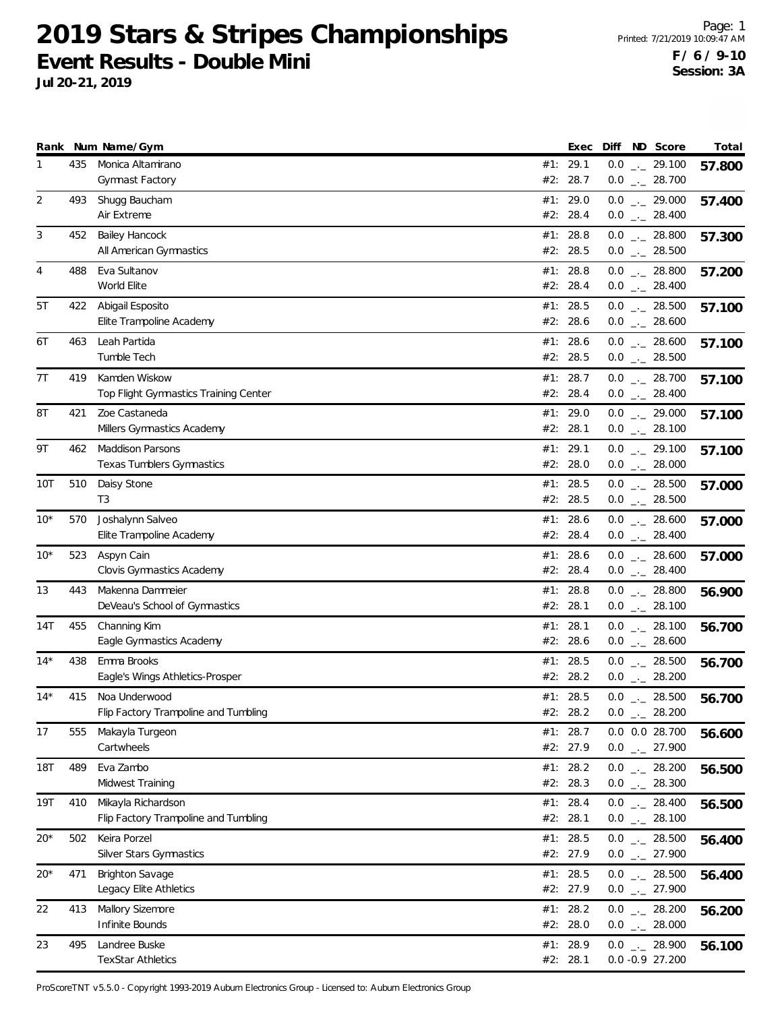**Jul 20-21, 2019**

|        |     | Rank Num Name/Gym                                           |     | Exec                 |     | Diff ND Score                                                             | Total  |
|--------|-----|-------------------------------------------------------------|-----|----------------------|-----|---------------------------------------------------------------------------|--------|
| 1      | 435 | Monica Altamirano<br><b>Gymnast Factory</b>                 | #2: | #1: 29.1<br>28.7     |     | $0.0$ _ 29.100<br>$0.0$ _ 28.700                                          | 57.800 |
| 2      | 493 | Shugg Baucham<br>Air Extreme                                |     | #1: 29.0<br>#2: 28.4 |     | $0.0$ $_{-}$ 29.000<br>$0.0$ _ 28.400                                     | 57.400 |
| 3      | 452 | <b>Bailey Hancock</b><br>All American Gymnastics            |     | #1: 28.8<br>#2: 28.5 |     | $0.0$ _ 28.800<br>$0.0$ _ 28.500                                          | 57.300 |
| 4      | 488 | Eva Sultanov<br>World Elite                                 |     | #1: 28.8<br>#2: 28.4 |     | $0.0$ _ 28.800<br>$0.0$ _ 28.400                                          | 57.200 |
| 5T     | 422 | Abigail Esposito<br>Elite Trampoline Academy                |     | #1: 28.5<br>#2: 28.6 |     | $0.0$ _ 28.500<br>$0.0$ _ 28.600                                          | 57.100 |
| 6Т     | 463 | Leah Partida<br>Tumble Tech                                 |     | #1: 28.6<br>#2: 28.5 |     | $0.0$ _ 28.600<br>$0.0$ _ 28.500                                          | 57.100 |
| 7T     | 419 | Kamden Wiskow<br>Top Flight Gymnastics Training Center      |     | #1: 28.7<br>#2: 28.4 |     | $0.0$ _ 28.700<br>$0.0$ _ 28.400                                          | 57.100 |
| 8Τ     | 421 | Zoe Castaneda<br>Millers Gymnastics Academy                 | #1: | 29.0<br>#2: 28.1     |     | $0.0$ $_{-}$ 29.000<br>$0.0$ _ 28.100                                     | 57.100 |
| 9Τ     | 462 | <b>Maddison Parsons</b><br><b>Texas Tumblers Gymnastics</b> |     | #1: 29.1<br>#2: 28.0 |     | $0.0$ $_{-}$ 29.100<br>$0.0$ _ 28.000                                     | 57.100 |
| 10T    | 510 | Daisy Stone<br>T <sub>3</sub>                               |     | #1: 28.5<br>#2: 28.5 |     | $0.0$ _ 28.500<br>$0.0$ _ 28.500                                          | 57.000 |
| $10*$  | 570 | Joshalynn Salveo<br>Elite Trampoline Academy                |     | #1: 28.6<br>#2: 28.4 |     | $0.0$ _ 28.600<br>$0.0$ _ 28.400                                          | 57.000 |
| $10^*$ | 523 | Aspyn Cain<br>Clovis Gymnastics Academy                     | #1: | 28.6<br>#2: 28.4     |     | $0.0$ _ 28.600<br>$0.0$ _ 28.400                                          | 57.000 |
| 13     | 443 | Makenna Dammeier<br>DeVeau's School of Gymnastics           |     | #1: 28.8<br>#2: 28.1 |     | $0.0$ _._ 28.800<br>$0.0$ _ 28.100                                        | 56.900 |
| 14T    | 455 | Channing Kim<br>Eagle Gymnastics Academy                    |     | #1: 28.1<br>#2: 28.6 |     | $0.0$ _ 28.100<br>$0.0$ _ 28.600                                          | 56.700 |
| $14*$  | 438 | Emma Brooks<br>Eagle's Wings Athletics-Prosper              | #1: | 28.5<br>#2: 28.2     |     | $0.0$ _ 28.500<br>$0.0$ _ 28.200                                          | 56.700 |
| $14*$  | 415 | Noa Underwood<br>Flip Factory Trampoline and Tumbling       |     | #1: 28.5<br>#2: 28.2 | 0.0 | $0.0$ _._ 28.500<br>28.200<br>$\mathcal{L}^{\mu}$ and $\mathcal{L}^{\mu}$ | 56.700 |
| 17     | 555 | Makayla Turgeon<br>Cartwheels                               |     | #1: 28.7<br>#2: 27.9 |     | 0.0 0.0 28.700<br>$0.0$ $-27.900$                                         | 56.600 |
| 18T    | 489 | Eva Zambo<br>Midwest Training                               |     | #1: 28.2<br>#2: 28.3 |     | $0.0$ _ 28.200<br>$0.0$ _ 28.300                                          | 56.500 |
| 19T    | 410 | Mikayla Richardson<br>Flip Factory Trampoline and Tumbling  |     | #1: 28.4<br>#2: 28.1 |     | $0.0$ _ 28.400<br>$0.0$ _._ 28.100                                        | 56.500 |
| 20*    | 502 | Keira Porzel<br>Silver Stars Gymnastics                     | #1: | 28.5<br>#2: 27.9     |     | $0.0$ _ 28.500<br>$0.0$ $_{-}$ 27.900                                     | 56.400 |
| $20*$  | 471 | <b>Brighton Savage</b><br>Legacy Elite Athletics            |     | #1: 28.5<br>#2: 27.9 |     | $0.0$ _ 28.500<br>$0.0$ _ 27.900                                          | 56.400 |
| 22     | 413 | Mallory Sizemore<br>Infinite Bounds                         |     | #1: 28.2<br>#2: 28.0 |     | $0.0$ _ 28.200<br>$0.0$ _ $-28.000$                                       | 56.200 |
| 23     | 495 | Landree Buske<br><b>TexStar Athletics</b>                   |     | #1: 28.9<br>#2: 28.1 |     | $0.0$ _ 28.900<br>$0.0 -0.9 27.200$                                       | 56.100 |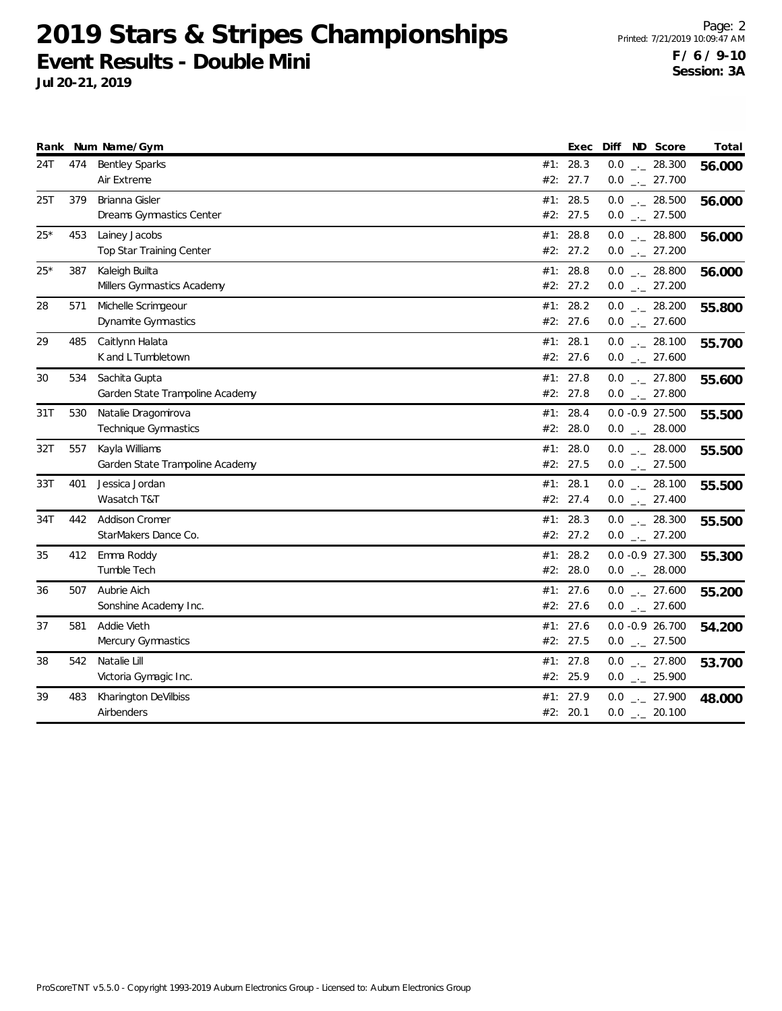|       |     | Rank Num Name/Gym               |     | Exec       | Diff ND Score       | Total  |
|-------|-----|---------------------------------|-----|------------|---------------------|--------|
| 24T   | 474 | <b>Bentley Sparks</b>           |     | #1: 28.3   | $0.0$ _ 28.300      | 56.000 |
|       |     | Air Extreme                     |     | #2: 27.7   | $0.0$ _ 27.700      |        |
| 25T   | 379 | Brianna Gisler                  | #1: | 28.5       | $0.0$ _ 28.500      | 56.000 |
|       |     | Dreams Gymnastics Center        |     | #2: 27.5   | $0.0$ _ 27.500      |        |
| $25*$ | 453 | Lainey Jacobs                   |     | #1: 28.8   | $0.0$ _._ 28.800    | 56.000 |
|       |     | Top Star Training Center        |     | #2: 27.2   | $0.0$ _ 27.200      |        |
| $25*$ | 387 | Kaleigh Builta                  |     | #1: 28.8   | $0.0$ _ 28.800      | 56.000 |
|       |     | Millers Gymnastics Academy      |     | #2: 27.2   | $0.0$ _ 27.200      |        |
| 28    | 571 | Michelle Scrimgeour             |     | #1: 28.2   | $0.0$ _ 28.200      | 55.800 |
|       |     | Dynamite Gymnastics             |     | #2: 27.6   | $0.0$ _ 27.600      |        |
| 29    | 485 | Caitlynn Halata                 |     | #1: 28.1   | $0.0$ _ 28.100      | 55.700 |
|       |     | K and L Tumbletown              |     | #2: 27.6   | $0.0$ _ 27.600      |        |
| 30    | 534 | Sachita Gupta                   |     | #1: $27.8$ | $0.0$ _ 27.800      | 55.600 |
|       |     | Garden State Trampoline Academy |     | #2: 27.8   | $0.0$ _._ 27.800    |        |
| 31T   | 530 | Natalie Dragomirova             |     | #1: 28.4   | $0.0 - 0.9 27.500$  | 55.500 |
|       |     | Technique Gymnastics            |     | #2: 28.0   | $0.0$ _ 28.000      |        |
| 32T   | 557 | Kayla Williams                  | #1: | 28.0       | $0.0$ _ 28.000      | 55.500 |
|       |     | Garden State Trampoline Academy |     | #2: 27.5   | $0.0$ _ 27.500      |        |
| 33T   | 401 | Jessica Jordan                  |     | #1: 28.1   | $0.0$ _ 28.100      | 55.500 |
|       |     | Wasatch T&T                     |     | #2: 27.4   | $0.0$ _ 27.400      |        |
| 34T   | 442 | Addison Cromer                  |     | #1: 28.3   | $0.0$ $_{-}$ 28.300 | 55.500 |
|       |     | StarMakers Dance Co.            |     | #2: 27.2   | $0.0$ _ 27.200      |        |
| 35    | 412 | Emma Roddy                      |     | #1: 28.2   | $0.0 -0.9 27.300$   | 55.300 |
|       |     | Tumble Tech                     |     | #2: 28.0   | $0.0$ _ 28.000      |        |
| 36    | 507 | Aubrie Aich                     |     | #1: 27.6   | $0.0$ _ 27.600      | 55.200 |
|       |     | Sonshine Academy Inc.           |     | #2: 27.6   | $0.0$ _ 27.600      |        |
| 37    | 581 | Addie Vieth                     |     | #1: $27.6$ | $0.0 -0.9 26.700$   | 54.200 |
|       |     | Mercury Gymnastics              |     | #2: 27.5   | $0.0$ _ 27.500      |        |
| 38    | 542 | Natalie Lill                    |     | #1: 27.8   | $0.0$ _ 27.800      | 53.700 |
|       |     | Victoria Gymagic Inc.           |     | #2: 25.9   | $0.0$ _ 25.900      |        |
| 39    | 483 | Kharington DeVilbiss            |     | #1: 27.9   | $0.0$ _ 27.900      | 48.000 |
|       |     | Airbenders                      |     | #2: 20.1   | $0.0$ _ 20.100      |        |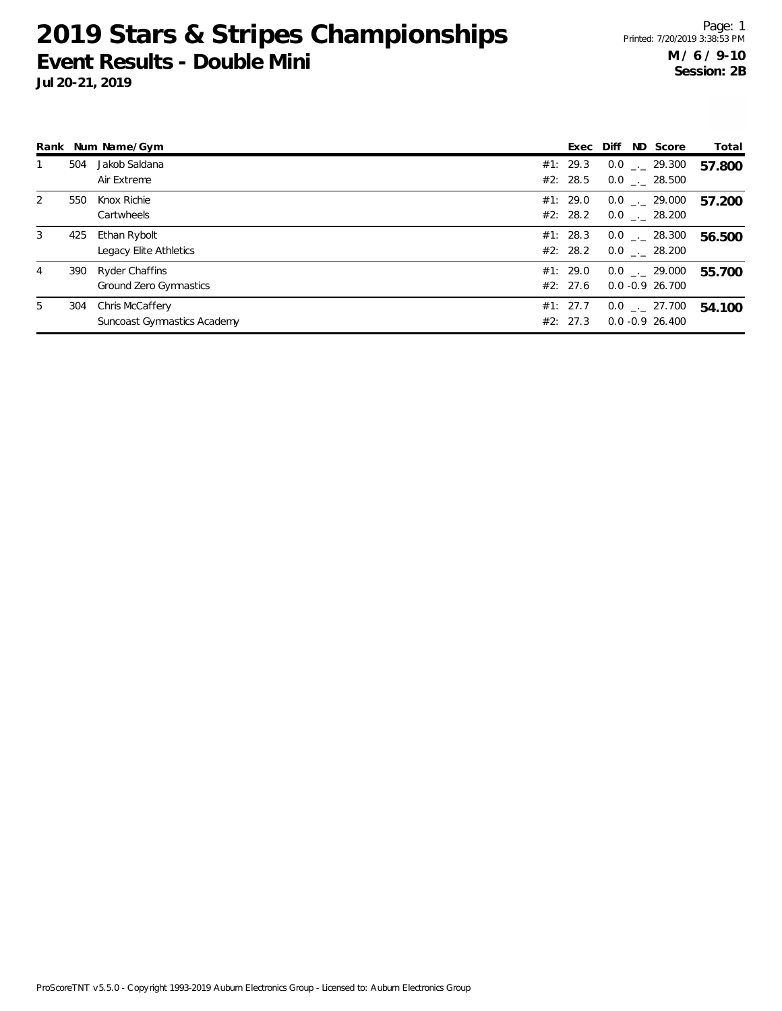|     |                             |                                                        |                                                                                                                      |  | Total                                                                                                                                                                                                                          |
|-----|-----------------------------|--------------------------------------------------------|----------------------------------------------------------------------------------------------------------------------|--|--------------------------------------------------------------------------------------------------------------------------------------------------------------------------------------------------------------------------------|
| 504 | Jakob Saldana               |                                                        |                                                                                                                      |  | 57.800                                                                                                                                                                                                                         |
|     | Air Extreme                 |                                                        |                                                                                                                      |  |                                                                                                                                                                                                                                |
| 550 | Knox Richie                 |                                                        |                                                                                                                      |  | 57.200                                                                                                                                                                                                                         |
|     | Cartwheels                  |                                                        |                                                                                                                      |  |                                                                                                                                                                                                                                |
| 425 | Ethan Rybolt                |                                                        |                                                                                                                      |  | 56.500                                                                                                                                                                                                                         |
|     | Legacy Elite Athletics      |                                                        |                                                                                                                      |  |                                                                                                                                                                                                                                |
| 390 |                             |                                                        |                                                                                                                      |  | 55.700                                                                                                                                                                                                                         |
|     | Ground Zero Gymnastics      |                                                        |                                                                                                                      |  |                                                                                                                                                                                                                                |
| 304 |                             |                                                        |                                                                                                                      |  | 54.100                                                                                                                                                                                                                         |
|     | Suncoast Gymnastics Academy |                                                        |                                                                                                                      |  |                                                                                                                                                                                                                                |
|     |                             | Rank Num Name/Gym<br>Ryder Chaffins<br>Chris McCaffery | #1: 29.3<br>#2: 28.5<br>#1: 29.0<br>#2: 28.2<br>#1: 28.3<br>#2: 28.2<br>#1: 29.0<br>#2: 27.6<br>#1: 27.7<br>#2: 27.3 |  | Exec Diff ND Score<br>$0.0$ _._ 29.300<br>$0.0$ _._ 28.500<br>$0.0$ _._ 29.000<br>$0.0$ _._ 28.200<br>$0.0$ _._ 28.300<br>$0.0$ _._ 28.200<br>$0.0$ _._ 29.000<br>$0.0 - 0.9$ 26.700<br>$0.0$ _._ 27.700<br>$0.0 - 0.9$ 26.400 |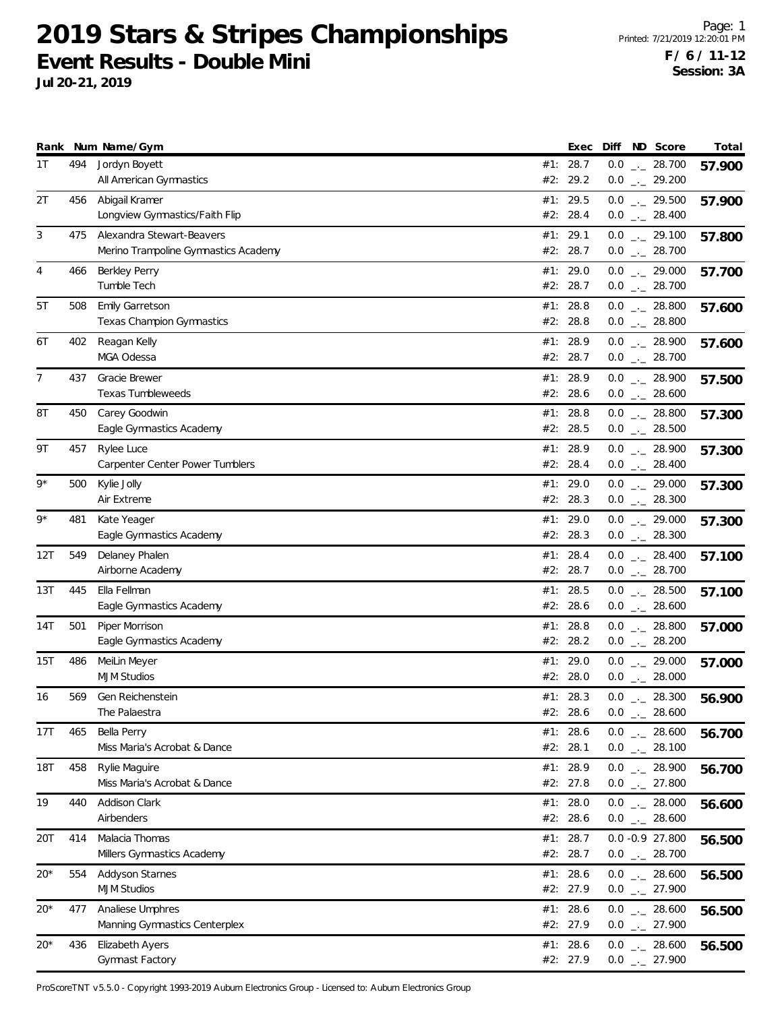**Jul 20-21, 2019**

|       |     | Rank Num Name/Gym                                                 | Exec                   | Diff ND Score                                  | Total  |
|-------|-----|-------------------------------------------------------------------|------------------------|------------------------------------------------|--------|
| 1T    | 494 | Jordyn Boyett<br>All American Gymnastics                          | #1: 28.7<br>#2: 29.2   | $0.0$ _ 28.700<br>$0.0$ $_{-}$ 29.200          | 57.900 |
| 2Τ    | 456 | Abigail Kramer<br>Longview Gymnastics/Faith Flip                  | #1: 29.5<br>#2: 28.4   | $0.0$ _ 29.500<br>$0.0$ _ 28.400               | 57.900 |
| 3     | 475 | Alexandra Stewart-Beavers<br>Merino Trampoline Gymnastics Academy | #1: 29.1<br>#2: 28.7   | $0.0$ $_{\leftarrow}$ 29.100<br>$0.0$ _ 28.700 | 57.800 |
| 4     | 466 | <b>Berkley Perry</b><br>Tumble Tech                               | #1: 29.0<br>#2: 28.7   | $0.0$ _ 29.000<br>$0.0$ _ 28.700               | 57.700 |
| 5T    | 508 | <b>Emily Garretson</b><br>Texas Champion Gymnastics               | #1: 28.8<br>#2: 28.8   | $0.0$ _ 28.800<br>$0.0$ _ 28.800               | 57.600 |
| 6Т    | 402 | Reagan Kelly<br>MGA Odessa                                        | #1: 28.9<br>#2: 28.7   | $0.0$ _ 28.900<br>$0.0$ _ 28.700               | 57.600 |
| 7     | 437 | Gracie Brewer<br>Texas Tumbleweeds                                | #1: 28.9<br>#2: 28.6   | $0.0$ _._ 28.900<br>$0.0$ _ 28.600             | 57.500 |
| 8T    | 450 | Carey Goodwin<br>Eagle Gymnastics Academy                         | #1: 28.8<br>#2: 28.5   | $0.0$ _ 28.800<br>$0.0$ _ 28.500               | 57.300 |
| 9Τ    | 457 | Rylee Luce<br><b>Carpenter Center Power Tumblers</b>              | #1: 28.9<br>#2: 28.4   | $0.0$ _ 28.900<br>$0.0$ _ 28.400               | 57.300 |
| $9*$  | 500 | Kylie Jolly<br>Air Extreme                                        | #1: 29.0<br>#2: 28.3   | $0.0$ _ 29.000<br>$0.0$ _ 28.300               | 57.300 |
| 9*    | 481 | Kate Yeager<br>Eagle Gymnastics Academy                           | #1: 29.0<br>#2: 28.3   | $0.0$ _ 29.000<br>$0.0$ _ 28.300               | 57.300 |
| 12T   | 549 | Delaney Phalen<br>Airborne Academy                                | #1: 28.4<br>#2: 28.7   | $0.0$ _ 28.400<br>$0.0$ _ 28.700               | 57.100 |
| 13T   | 445 | Ella Fellman<br>Eagle Gymnastics Academy                          | #1: 28.5<br>#2: 28.6   | $0.0$ _ 28.500<br>$0.0$ _ 28.600               | 57.100 |
| 14T   | 501 | Piper Morrison<br>Eagle Gymnastics Academy                        | #1: 28.8<br>#2: 28.2   | $0.0$ _ 28.800<br>$0.0$ _ 28.200               | 57.000 |
| 15T   | 486 | MeiLin Meyer<br><b>MJM Studios</b>                                | #1: 29.0<br>#2: 28.0   | $0.0$ _ 29.000<br>$0.0$ _ $-28.000$            | 57.000 |
| 16    | 569 | Gen Reichenstein<br>The Palaestra                                 | #1: 28.3<br>#2: 28.6   | $0.0$ _ 28.300<br>$0.0$ _ 28.600               | 56.900 |
| 17T   | 465 | Bella Perry<br>Miss Maria's Acrobat & Dance                       | #1: $28.6$<br>#2: 28.1 | $0.0$ _ 28.600<br>$0.0$ _ 28.100               | 56.700 |
| 18T   | 458 | Rylie Maguire<br>Miss Maria's Acrobat & Dance                     | #1: 28.9<br>#2: 27.8   | $0.0$ _ 28.900<br>$0.0$ _ 27.800               | 56.700 |
| 19    | 440 | Addison Clark<br>Airbenders                                       | #1: 28.0<br>#2: 28.6   | $0.0$ _ 28.000<br>$0.0$ _ 28.600               | 56.600 |
| 20T   | 414 | Malacia Thomas<br>Millers Gymnastics Academy                      | #1: 28.7<br>#2: 28.7   | $0.0 - 0.9 27.800$<br>$0.0$ _ 28.700           | 56.500 |
| $20*$ | 554 | Addyson Starnes<br><b>MJM Studios</b>                             | #1: $28.6$<br>#2: 27.9 | $0.0$ _ 28.600<br>$0.0$ _ 27.900               | 56.500 |
| $20*$ | 477 | Analiese Umphres<br>Manning Gymnastics Centerplex                 | #1: 28.6<br>#2: 27.9   | $0.0$ _ 28.600<br>$0.0$ _ 27.900               | 56.500 |
| 20*   | 436 | Elizabeth Ayers<br>Gymnast Factory                                | #1: 28.6<br>#2: 27.9   | $0.0$ _ 28.600<br>$0.0$ _ 27.900               | 56.500 |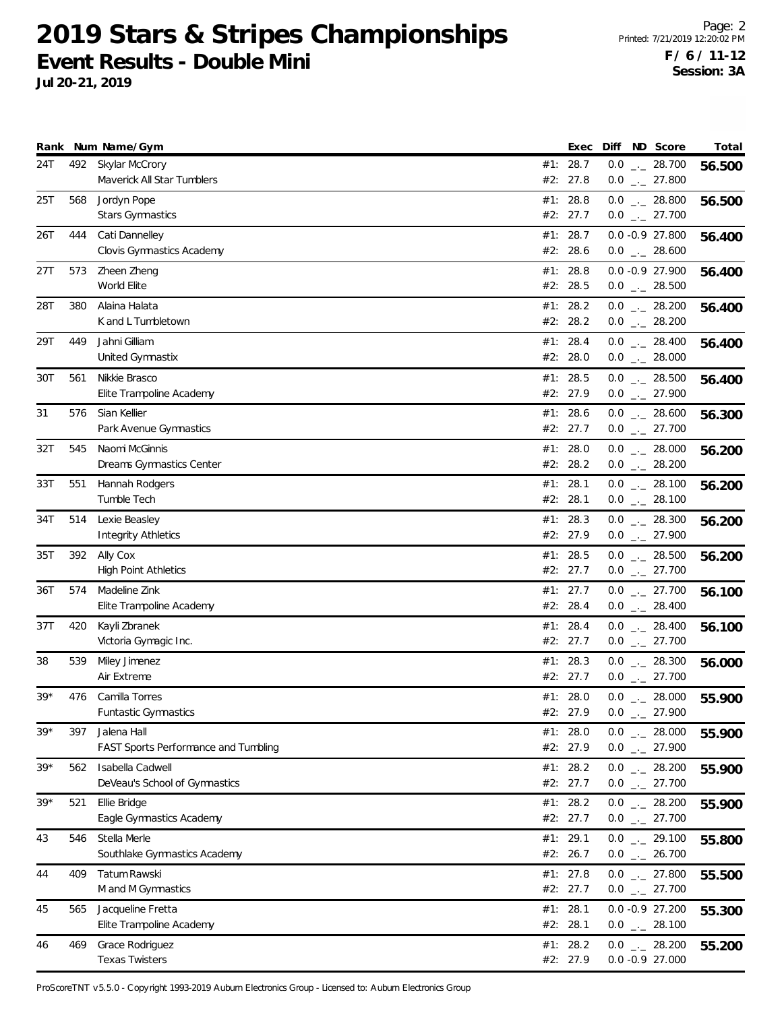**Jul 20-21, 2019**

|       |     | Rank Num Name/Gym                                   |     | Exec                   |         | Diff ND Score                         | Total  |
|-------|-----|-----------------------------------------------------|-----|------------------------|---------|---------------------------------------|--------|
| 24T   |     | 492 Skylar McCrory<br>Maverick All Star Tumblers    |     | #1: 28.7<br>#2: 27.8   |         | $0.0$ _ 28.700<br>$0.0$ _ 27.800      | 56.500 |
| 25T   | 568 | Jordyn Pope<br>Stars Gymnastics                     |     | #1: 28.8<br>#2: 27.7   |         | $0.0$ _ 28.800<br>$0.0$ $_{-}$ 27.700 | 56.500 |
| 26T   | 444 | Cati Dannelley<br>Clovis Gymnastics Academy         |     | #1: 28.7<br>#2: 28.6   |         | 0.0 -0.9 27.800<br>$0.0$ _ 28.600     | 56.400 |
| 27T   | 573 | Zheen Zheng<br>World Elite                          |     | #1: 28.8<br>#2: 28.5   |         | 0.0 -0.9 27.900<br>$0.0$ _ 28.500     | 56.400 |
| 28T   | 380 | Alaina Halata<br>K and L Tumbletown                 |     | #1: 28.2<br>#2: 28.2   |         | $0.0$ _ 28.200<br>$0.0$ _ 28.200      | 56.400 |
| 29T   | 449 | Jahni Gilliam<br>United Gymnastix                   |     | #1: 28.4<br>#2: 28.0   |         | $0.0$ _ 28.400<br>$0.0$ _ 28.000      | 56.400 |
| 30T   | 561 | Nikkie Brasco<br>Elite Trampoline Academy           |     | #1: 28.5<br>#2: 27.9   |         | $0.0$ _ 28.500<br>$0.0$ _ 27.900      | 56.400 |
| 31    | 576 | Sian Kellier<br>Park Avenue Gymnastics              |     | #1: 28.6<br>#2: 27.7   |         | $0.0$ _ 28.600<br>$0.0$ $_{-}$ 27.700 | 56.300 |
| 32T   | 545 | Naomi McGinnis<br>Dreams Gymnastics Center          |     | #1: 28.0<br>#2: 28.2   |         | $0.0$ _ 28.000<br>$0.0$ _ 28.200      | 56.200 |
| 33T   | 551 | Hannah Rodgers<br>Tumble Tech                       |     | #1: 28.1<br>#2: 28.1   |         | $0.0$ _._ 28.100<br>$0.0$ _ 28.100    | 56.200 |
| 34T   | 514 | Lexie Beasley<br><b>Integrity Athletics</b>         |     | #1: 28.3<br>#2: 27.9   |         | $0.0$ _ 28.300<br>$0.0$ $_{-}$ 27.900 | 56.200 |
| 35T   | 392 | Ally Cox<br><b>High Point Athletics</b>             |     | #1: 28.5<br>#2: 27.7   |         | $0.0$ _ 28.500<br>$0.0$ _ 27.700      | 56.200 |
| 36T   | 574 | Madeline Zink<br>Elite Trampoline Academy           |     | #1: 27.7<br>#2: 28.4   |         | $0.0$ $_{-}$ 27.700<br>$0.0$ _ 28.400 | 56.100 |
| 37T   | 420 | Kayli Zbranek<br>Victoria Gymagic Inc.              |     | #1: 28.4<br>#2: 27.7   |         | $0.0$ _ 28.400<br>$0.0$ _ 27.700      | 56.100 |
| 38    | 539 | Miley Jimenez<br>Air Extreme                        | #1: | 28.3<br>#2: 27.7       |         | $0.0$ _ 28.300<br>$0.0$ - 27.700      | 56.000 |
| $39*$ | 476 | Camilla Torres<br>Funtastic Gymnastics              |     | #1: 28.0<br>#2: 27.9   | $0.0$ . | $0.0$ _ 28.000<br>27.900              | 55.900 |
| $39*$ | 397 | Jalena Hall<br>FAST Sports Performance and Tumbling |     | #1: 28.0<br>#2: 27.9   |         | $0.0$ _ 28.000<br>$0.0$ _ 27.900      | 55.900 |
| $39*$ | 562 | Isabella Cadwell<br>DeVeau's School of Gymnastics   |     | #1: 28.2<br>#2: 27.7   |         | $0.0$ _ 28.200<br>$0.0$ _ 27.700      | 55.900 |
| $39*$ | 521 | Ellie Bridge<br>Eagle Gymnastics Academy            |     | #1: 28.2<br>#2: 27.7   |         | $0.0$ _ 28.200<br>$0.0$ _ 27.700      | 55.900 |
| 43    | 546 | Stella Merle<br>Southlake Gymnastics Academy        |     | #1: 29.1<br>#2: 26.7   |         | $0.0$ - 29.100<br>$0.0$ _ 26.700      | 55.800 |
| 44    | 409 | <b>Tatum Rawski</b><br>M and M Gymnastics           |     | #1: $27.8$<br>#2: 27.7 |         | $0.0$ _ 27.800<br>$0.0$ _ 27.700      | 55.500 |
| 45    | 565 | Jacqueline Fretta<br>Elite Trampoline Academy       |     | #1: 28.1<br>#2: 28.1   |         | $0.0 -0.9 27.200$<br>$0.0$ _ 28.100   | 55.300 |
| 46    | 469 | Grace Rodriguez<br><b>Texas Twisters</b>            |     | #1: 28.2<br>#2: 27.9   |         | $0.0$ _ 28.200<br>$0.0 -0.927.000$    | 55.200 |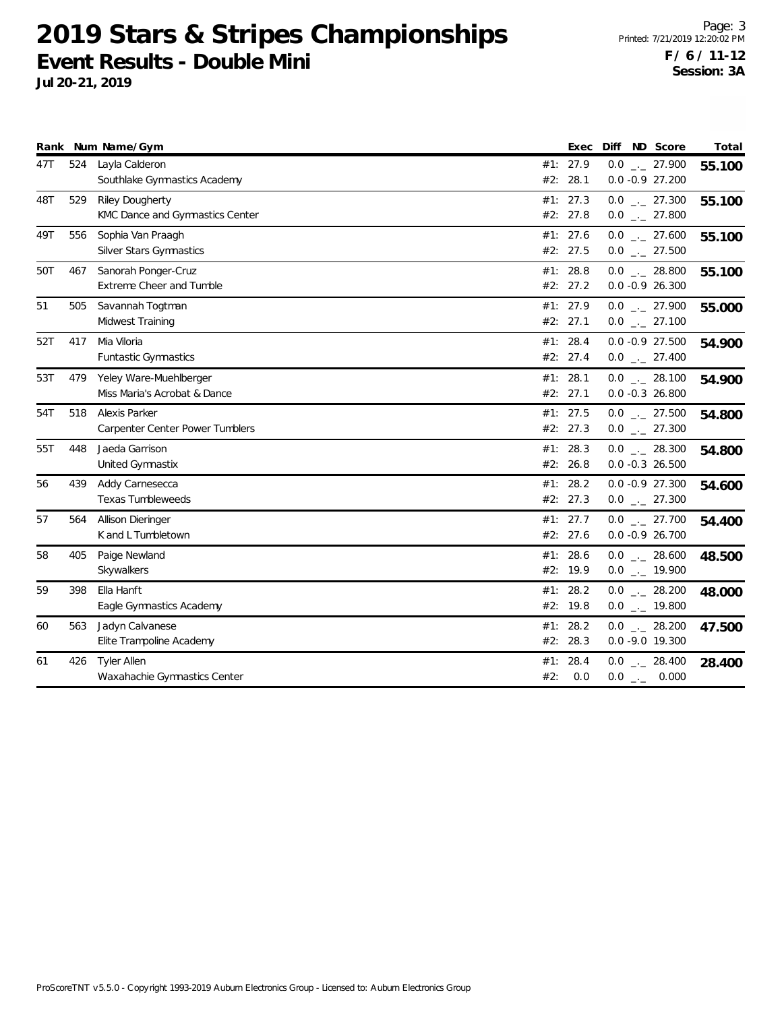|     |     | Rank Num Name/Gym                                         |     | Exec                 | ND Score<br>Diff                       | Total  |
|-----|-----|-----------------------------------------------------------|-----|----------------------|----------------------------------------|--------|
| 47T | 524 | Layla Calderon<br>Southlake Gymnastics Academy            |     | #1: 27.9<br>#2: 28.1 | $0.0$ _ 27.900<br>$0.0 - 0.9 27.200$   | 55.100 |
| 48T | 529 | <b>Riley Dougherty</b><br>KMC Dance and Gymnastics Center |     | #1: 27.3<br>#2: 27.8 | $0.0$ _ 27.300<br>$0.0$ _._ 27.800     | 55.100 |
| 49T | 556 | Sophia Van Praagh<br>Silver Stars Gymnastics              |     | #1: 27.6<br>#2: 27.5 | $0.0$ _ 27.600<br>$0.0$ _ 27.500       | 55.100 |
| 50T | 467 | Sanorah Ponger-Cruz<br>Extreme Cheer and Tumble           |     | #1: 28.8<br>#2: 27.2 | $0.0$ _ 28.800<br>$0.0 - 0.9 26.300$   | 55.100 |
| 51  | 505 | Savannah Togtman<br>Midwest Training                      |     | #1: 27.9<br>#2: 27.1 | $0.0$ _ 27.900<br>$0.0$ _ 27.100       | 55.000 |
| 52T | 417 | Mia Viloria<br>Funtastic Gymnastics                       |     | #1: 28.4<br>#2: 27.4 | $0.0 -0.9 27.500$<br>$0.0$ _ 27.400    | 54.900 |
| 53T | 479 | Yeley Ware-Muehlberger<br>Miss Maria's Acrobat & Dance    |     | #1: 28.1<br>#2: 27.1 | $0.0$ _ 28.100<br>$0.0 - 0.3 26.800$   | 54.900 |
| 54T | 518 | Alexis Parker<br>Carpenter Center Power Tumblers          |     | #1: 27.5<br>#2: 27.3 | $0.0$ _ 27.500<br>$0.0$ _ 27.300       | 54.800 |
| 55T | 448 | Jaeda Garrison<br>United Gymnastix                        |     | #1: 28.3<br>#2: 26.8 | $0.0$ _ 28.300<br>$0.0 - 0.3 26.500$   | 54.800 |
| 56  | 439 | Addy Carnesecca<br><b>Texas Tumbleweeds</b>               |     | #1: 28.2<br>#2: 27.3 | $0.0 - 0.9 27.300$<br>$0.0$ _ 27.300   | 54.600 |
| 57  | 564 | Allison Dieringer<br>K and L Tumbletown                   |     | #1: 27.7<br>#2: 27.6 | $0.0$ _._ 27.700<br>$0.0 - 0.9 26.700$ | 54.400 |
| 58  | 405 | Paige Newland<br>Skywalkers                               |     | #1: 28.6<br>#2: 19.9 | $0.0$ _ 28.600<br>$0.0$ _ $-$ 19.900   | 48.500 |
| 59  | 398 | Ella Hanft<br>Eagle Gymnastics Academy                    |     | #1: 28.2<br>#2: 19.8 | $0.0$ _ 28.200<br>$0.0$ _ $-$ 19.800   | 48.000 |
| 60  | 563 | Jadyn Calvanese<br>Elite Trampoline Academy               |     | #1: 28.2<br>#2: 28.3 | $0.0$ _ 28.200<br>$0.0 -9.0 19.300$    | 47.500 |
| 61  | 426 | <b>Tyler Allen</b><br>Waxahachie Gymnastics Center        | #2: | #1: 28.4<br>0.0      | $0.0$ _ 28.400<br>$0.0$ _ 0.000        | 28.400 |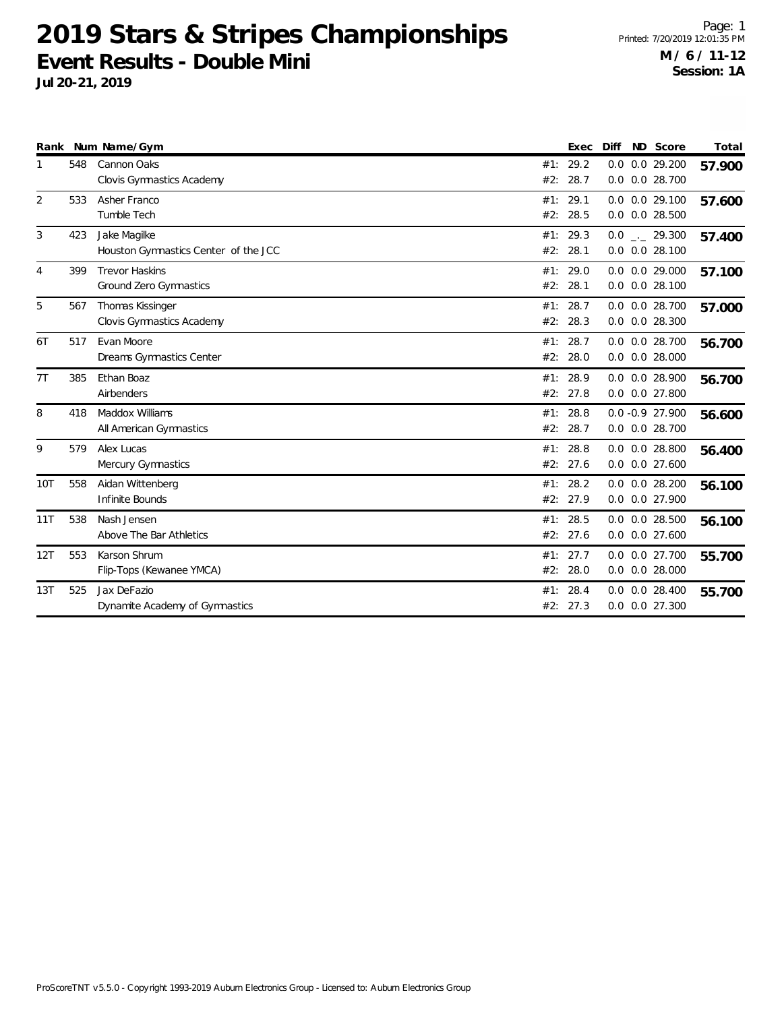|                |     | Rank Num Name/Gym                                    |            | Exec             | Diff       | ND Score                                 | Total  |
|----------------|-----|------------------------------------------------------|------------|------------------|------------|------------------------------------------|--------|
| 1              | 548 | Cannon Oaks<br>Clovis Gymnastics Academy             | #1:<br>#2: | 29.2<br>28.7     | 0.0<br>0.0 | 0.0 29.200<br>0.0 28.700                 | 57.900 |
| $\overline{2}$ | 533 | Asher Franco<br>Tumble Tech                          | #1:<br>#2: | 29.1<br>28.5     |            | $0.0$ $0.0$ 29.100<br>$0.0$ $0.0$ 28.500 | 57.600 |
| 3              | 423 | Jake Magilke<br>Houston Gymnastics Center of the JCC | #1:<br>#2: | 29.3<br>28.1     |            | $0.0$ _._ 29.300<br>$0.0$ $0.0$ 28.100   | 57.400 |
| 4              | 399 | <b>Trevor Haskins</b><br>Ground Zero Gymnastics      | #1:<br>#2: | 29.0<br>28.1     |            | 0.0 0.0 29.000<br>$0.0$ $0.0$ 28.100     | 57.100 |
| 5              | 567 | Thomas Kissinger<br>Clovis Gymnastics Academy        | #1:<br>#2: | 28.7<br>28.3     | 0.0        | 0.0 28.700<br>$0.0$ $0.0$ 28.300         | 57.000 |
| 6T             | 517 | Evan Moore<br>Dreams Gymnastics Center               | #2:        | #1: 28.7<br>28.0 |            | $0.0$ $0.0$ 28.700<br>$0.0$ $0.0$ 28.000 | 56.700 |
| 7T             | 385 | Ethan Boaz<br>Airbenders                             | #1:        | 28.9<br>#2: 27.8 |            | $0.0$ $0.0$ 28.900<br>0.0 0.0 27.800     | 56.700 |
| 8              | 418 | Maddox Williams<br>All American Gymnastics           | #1:<br>#2: | 28.8<br>28.7     |            | $0.0 - 0.9 27.900$<br>$0.0$ $0.0$ 28.700 | 56.600 |
| 9              | 579 | Alex Lucas<br>Mercury Gymnastics                     | #1:<br>#2: | 28.8<br>27.6     |            | $0.0$ $0.0$ 28.800<br>$0.0$ $0.0$ 27.600 | 56.400 |
| 10T            | 558 | Aidan Wittenberg<br>Infinite Bounds                  | #1:        | 28.2<br>#2: 27.9 |            | $0.0$ $0.0$ 28.200<br>0.0 0.0 27.900     | 56.100 |
| 11T            | 538 | Nash Jensen<br>Above The Bar Athletics               | #1:<br>#2: | 28.5<br>27.6     |            | $0.0$ $0.0$ 28.500<br>$0.0$ $0.0$ 27.600 | 56.100 |
| 12T            | 553 | Karson Shrum<br>Flip-Tops (Kewanee YMCA)             | #1:        | 27.7<br>#2: 28.0 |            | 0.0 0.0 27.700<br>$0.0$ $0.0$ 28.000     | 55.700 |
| 13T            | 525 | Jax DeFazio<br>Dynamite Academy of Gymnastics        | #1:<br>#2: | 28.4<br>27.3     | 0.0        | $0.0$ $0.0$ 28.400<br>0.0 27.300         | 55.700 |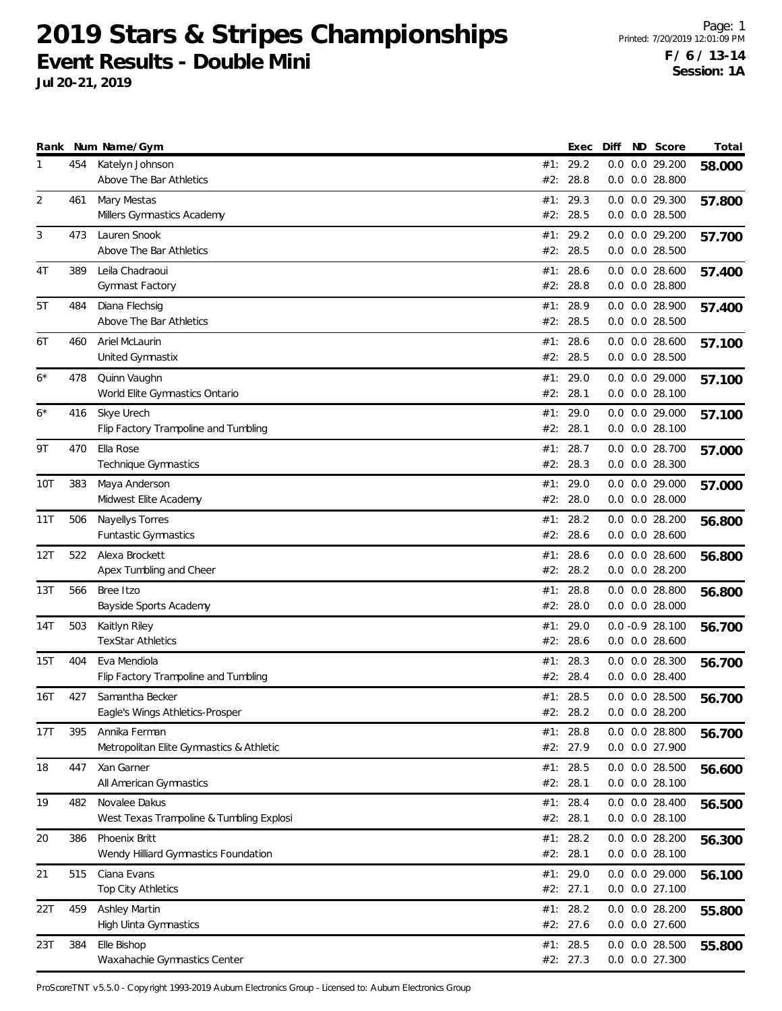**Jul 20-21, 2019**

|                |     | Rank Num Name/Gym                                         |            | Exec                 | Diff | ND Score                                 | Total  |
|----------------|-----|-----------------------------------------------------------|------------|----------------------|------|------------------------------------------|--------|
| 1              | 454 | Katelyn Johnson<br>Above The Bar Athletics                | #2:        | #1: 29.2<br>28.8     |      | 0.0 0.0 29.200<br>$0.0$ $0.0$ 28.800     | 58.000 |
| $\overline{2}$ | 461 | Mary Mestas<br>Millers Gymnastics Academy                 | #2:        | #1: 29.3<br>28.5     |      | 0.0 0.0 29.300<br>0.0 0.0 28.500         | 57.800 |
| 3              | 473 | Lauren Snook<br>Above The Bar Athletics                   | #1:        | 29.2<br>#2: 28.5     |      | 0.0 0.0 29.200<br>$0.0$ $0.0$ 28.500     | 57.700 |
| 4T             | 389 | Leila Chadraoui<br>Gymnast Factory                        | #1:<br>#2: | 28.6<br>28.8         |      | $0.0$ $0.0$ 28.600<br>$0.0$ $0.0$ 28.800 | 57.400 |
| 5T             | 484 | Diana Flechsig<br>Above The Bar Athletics                 |            | #1: 28.9<br>#2: 28.5 |      | 0.0 0.0 28.900<br>0.0 0.0 28.500         | 57.400 |
| 6Т             | 460 | Ariel McLaurin<br>United Gymnastix                        | #1:<br>#2: | 28.6<br>28.5         |      | $0.0$ $0.0$ 28.600<br>$0.0$ $0.0$ 28.500 | 57.100 |
| $6*$           | 478 | Quinn Vaughn<br>World Elite Gymnastics Ontario            | #1:<br>#2: | 29.0<br>28.1         |      | $0.0$ $0.0$ 29.000<br>$0.0$ $0.0$ 28.100 | 57.100 |
| $6*$           | 416 | Skye Urech<br>Flip Factory Trampoline and Tumbling        | #1:        | 29.0<br>#2: 28.1     |      | $0.0$ $0.0$ 29.000<br>$0.0$ $0.0$ 28.100 | 57.100 |
| 9Τ             | 470 | Ella Rose<br>Technique Gymnastics                         | #1:<br>#2: | 28.7<br>28.3         |      | 0.0 0.0 28.700<br>0.0 0.0 28.300         | 57.000 |
| 10T            | 383 | Maya Anderson<br>Midwest Elite Academy                    | #1:<br>#2: | 29.0<br>28.0         |      | 0.0 0.0 29.000<br>$0.0$ $0.0$ 28.000     | 57.000 |
| 11T            | 506 | Nayellys Torres<br>Funtastic Gymnastics                   | #1:<br>#2: | 28.2<br>28.6         |      | $0.0$ $0.0$ 28.200<br>$0.0$ $0.0$ 28.600 | 56.800 |
| 12T            | 522 | Alexa Brockett<br>Apex Tumbling and Cheer                 | #1:        | 28.6<br>#2: 28.2     |      | $0.0$ $0.0$ 28.600<br>$0.0$ $0.0$ 28.200 | 56.800 |
| 13T            | 566 | Bree Itzo<br>Bayside Sports Academy                       | #2:        | #1: 28.8<br>28.0     |      | $0.0$ $0.0$ 28.800<br>$0.0$ $0.0$ 28.000 | 56.800 |
| 14T            | 503 | Kaitlyn Riley<br><b>TexStar Athletics</b>                 | #1:        | 29.0<br>#2: 28.6     |      | $0.0 - 0.9 28.100$<br>$0.0$ $0.0$ 28.600 | 56.700 |
| 15T            | 404 | Eva Mendiola<br>Flip Factory Trampoline and Tumbling      | #1:<br>#2: | 28.3<br>28.4         |      | $0.0$ $0.0$ 28.300<br>$0.0$ $0.0$ 28.400 | 56.700 |
| 16T            | 427 | Samantha Becker<br>Eagle's Wings Athletics-Prosper        |            | #1: 28.5<br>#2: 28.2 |      | $0.0$ $0.0$ 28.500<br>$0.0$ $0.0$ 28.200 | 56.700 |
| 17T            | 395 | Annika Ferman<br>Metropolitan Elite Gymnastics & Athletic |            | #1: 28.8<br>#2: 27.9 |      | $0.0$ $0.0$ 28.800<br>0.0 0.0 27.900     | 56.700 |
| 18             | 447 | Xan Garner<br>All American Gymnastics                     |            | #1: 28.5<br>#2: 28.1 |      | 0.0 0.0 28.500<br>$0.0$ $0.0$ 28.100     | 56.600 |
| 19             | 482 | Novalee Dakus<br>West Texas Trampoline & Tumbling Explosi |            | #1: 28.4<br>#2: 28.1 |      | $0.0$ $0.0$ 28.400<br>$0.0$ $0.0$ 28.100 | 56.500 |
| 20             | 386 | Phoenix Britt<br>Wendy Hilliard Gymnastics Foundation     |            | #1: 28.2<br>#2: 28.1 |      | 0.0 0.0 28.200<br>$0.0$ $0.0$ 28.100     | 56.300 |
| 21             | 515 | Ciana Evans<br>Top City Athletics                         |            | #1: 29.0<br>#2: 27.1 |      | 0.0 0.0 29.000<br>0.0 0.0 27.100         | 56.100 |
| 22T            | 459 | Ashley Martin<br>High Uinta Gymnastics                    |            | #1: 28.2<br>#2: 27.6 |      | 0.0 0.0 28.200<br>0.0 0.0 27.600         | 55.800 |
| 23T            | 384 | Elle Bishop<br>Waxahachie Gymnastics Center               |            | #1: 28.5<br>#2: 27.3 |      | 0.0 0.0 28.500<br>0.0 0.0 27.300         | 55.800 |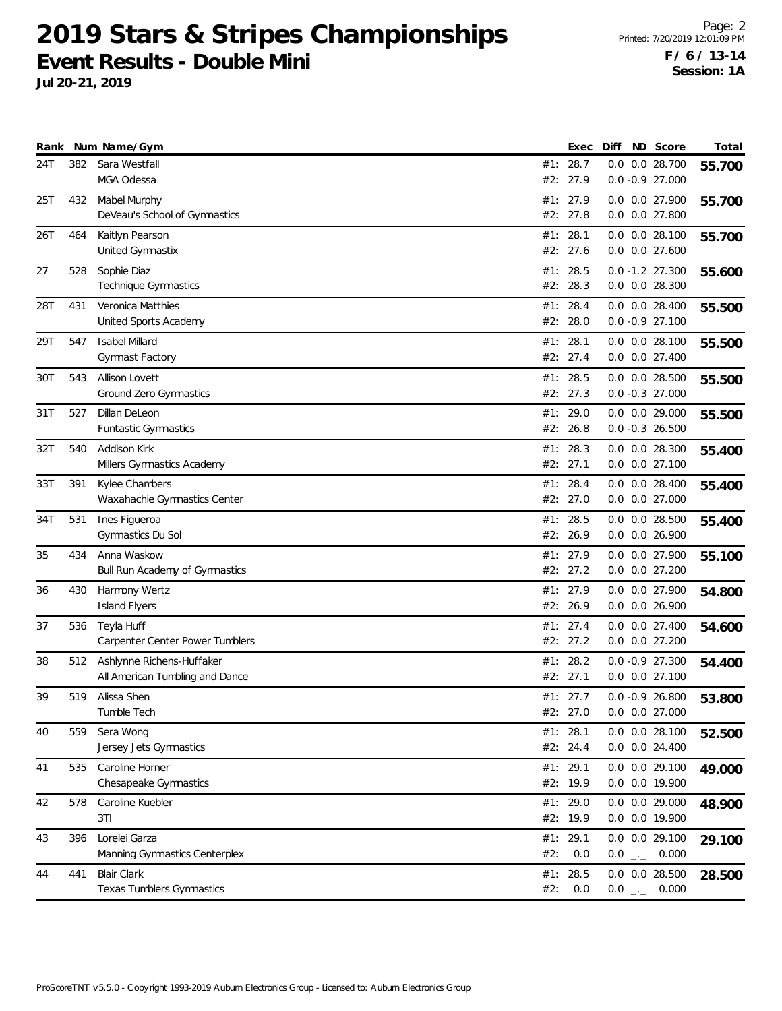| Rank |     | Num Name/Gym                                   |     | Exec             | Diff | ND Score                                   | Total  |
|------|-----|------------------------------------------------|-----|------------------|------|--------------------------------------------|--------|
| 24T  | 382 | Sara Westfall                                  |     | #1: 28.7         |      | 0.0 0.0 28.700                             | 55.700 |
|      |     | MGA Odessa                                     |     | #2: 27.9         |      | $0.0 - 0.9 27.000$                         |        |
| 25T  | 432 | Mabel Murphy                                   | #1: | 27.9             |      | 0.0 0.0 27.900                             | 55.700 |
|      |     | DeVeau's School of Gymnastics                  |     | #2: 27.8         |      | 0.0 0.0 27.800                             |        |
| 26T  | 464 | Kaitlyn Pearson                                |     | #1: 28.1         |      | $0.0$ $0.0$ 28.100                         | 55.700 |
|      |     | United Gymnastix                               |     | #2: 27.6         |      | $0.0$ $0.0$ 27.600                         |        |
| 27   | 528 | Sophie Diaz                                    |     | #1: 28.5         |      | $0.0 - 1.2$ 27.300                         | 55.600 |
|      |     | Technique Gymnastics                           |     | #2: 28.3         |      | $0.0$ $0.0$ 28.300                         |        |
| 28T  | 431 | Veronica Matthies                              | #1: | 28.4             |      | $0.0$ $0.0$ 28.400                         | 55.500 |
|      |     | United Sports Academy                          | #2: | 28.0             |      | $0.0 - 0.9 27.100$                         |        |
| 29T  | 547 | <b>Isabel Millard</b>                          | #1: | 28.1             |      | $0.0$ $0.0$ 28.100                         | 55.500 |
|      |     | <b>Gymnast Factory</b>                         |     | #2: 27.4         |      | $0.0$ $0.0$ 27.400                         |        |
| 30T  | 543 | Allison Lovett                                 | #1: | 28.5             |      | $0.0$ $0.0$ 28.500                         |        |
|      |     | Ground Zero Gymnastics                         |     | #2: 27.3         |      | $0.0 - 0.3 27.000$                         | 55.500 |
|      | 527 | Dillan DeLeon                                  |     | #1: 29.0         |      | 0.0 0.0 29.000                             |        |
| 31T  |     | Funtastic Gymnastics                           | #2: | 26.8             |      | $0.0 - 0.3 26.500$                         | 55.500 |
|      |     |                                                |     |                  |      |                                            |        |
| 32T  | 540 | Addison Kirk<br>Millers Gymnastics Academy     | #1: | 28.3<br>#2: 27.1 |      | $0.0$ $0.0$ 28.300<br>$0.0$ $0.0$ $27.100$ | 55.400 |
|      |     |                                                |     |                  |      |                                            |        |
| 33T  | 391 | Kylee Chambers<br>Waxahachie Gymnastics Center | #1: | 28.4<br>#2: 27.0 |      | $0.0$ $0.0$ 28.400<br>$0.0$ $0.0$ 27.000   | 55.400 |
|      |     |                                                |     |                  |      |                                            |        |
| 34T  | 531 | Ines Figueroa<br>Gymnastics Du Sol             | #1: | 28.5<br>#2: 26.9 |      | $0.0$ $0.0$ 28.500<br>0.0 0.0 26.900       | 55.400 |
|      |     |                                                |     |                  |      |                                            |        |
| 35   | 434 | Anna Waskow                                    |     | #1: 27.9         |      | 0.0 0.0 27.900                             | 55.100 |
|      |     | Bull Run Academy of Gymnastics                 |     | #2: 27.2         |      | $0.0$ $0.0$ $27.200$                       |        |
| 36   | 430 | Harmony Wertz                                  | #1: | 27.9             |      | $0.0$ $0.0$ 27.900                         | 54.800 |
|      |     | <b>Island Flyers</b>                           | #2: | 26.9             |      | $0.0$ $0.0$ 26.900                         |        |
| 37   | 536 | Teyla Huff                                     |     | #1: 27.4         |      | $0.0$ $0.0$ 27.400                         | 54.600 |
|      |     | Carpenter Center Power Tumblers                |     | #2: 27.2         |      | $0.0$ $0.0$ $27.200$                       |        |
| 38   | 512 | Ashlynne Richens-Huffaker                      | #1: | 28.2             |      | $0.0 - 0.9 27.300$                         | 54.400 |
|      |     | All American Tumbling and Dance                |     | #2: 27.1         |      | $0.0$ $0.0$ 27.100                         |        |
| 39   | 519 | Alissa Shen                                    |     | #1: 27.7         |      | $0.0 - 0.9 26.800$                         | 53.800 |
|      |     | Tumble Tech                                    |     | #2: 27.0         |      | $0.0$ $0.0$ 27.000                         |        |
| 40   | 559 | Sera Wong                                      |     | #1: 28.1         |      | $0.0$ $0.0$ 28.100                         | 52.500 |
|      |     | Jersey Jets Gymnastics                         |     | #2: 24.4         |      | 0.0 0.0 24.400                             |        |
| 41   | 535 | Caroline Horner                                |     | #1: 29.1         |      | 0.0 0.0 29.100                             | 49.000 |
|      |     | Chesapeake Gymnastics                          |     | #2: 19.9         |      | 0.0 0.0 19.900                             |        |
| 42   | 578 | Caroline Kuebler                               |     | #1: 29.0         |      | 0.0 0.0 29.000                             | 48.900 |
|      |     | 3T1                                            |     | #2: 19.9         |      | 0.0 0.0 19.900                             |        |
| 43   | 396 | Lorelei Garza                                  |     | #1: 29.1         |      | $0.0$ $0.0$ 29.100                         | 29.100 |
|      |     | Manning Gymnastics Centerplex                  | #2: | 0.0              |      | $0.0$ $_{\leftarrow -}$ 0.000              |        |
| 44   | 441 | <b>Blair Clark</b>                             |     | #1: 28.5         |      | $0.0$ $0.0$ 28.500                         | 28.500 |
|      |     | Texas Tumblers Gymnastics                      | #2: | 0.0              |      | $0.0$ _ 0.000                              |        |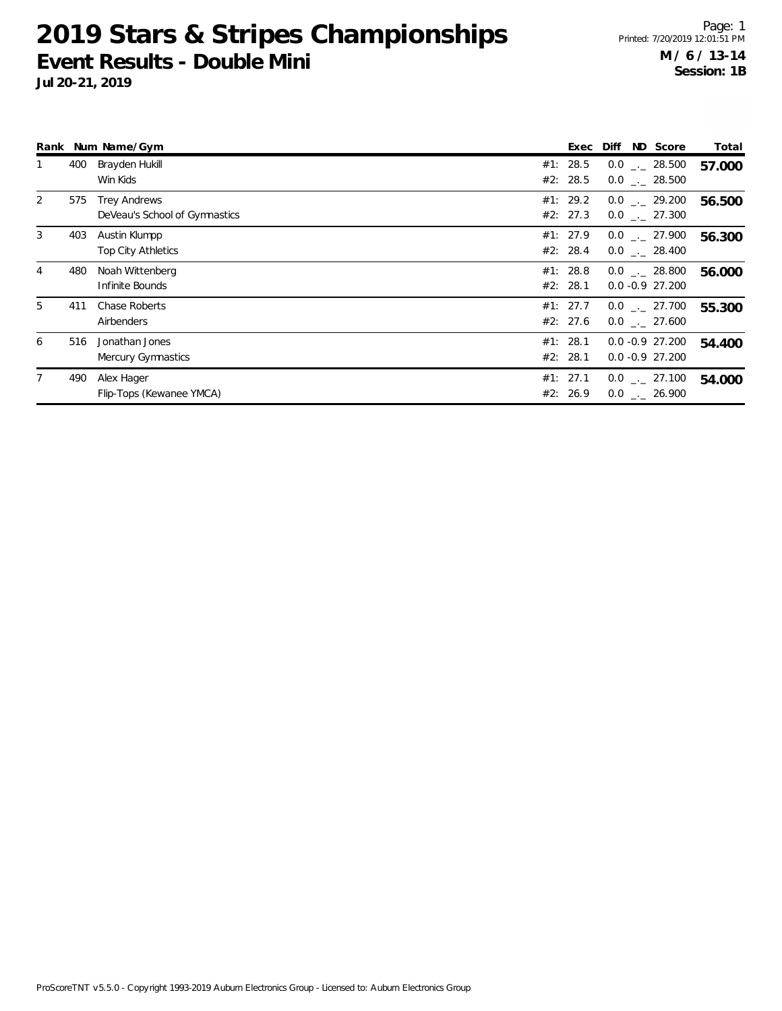|                |     | Rank Num Name/Gym                                    | Exec                 | Diff | ND Score                               | Total  |
|----------------|-----|------------------------------------------------------|----------------------|------|----------------------------------------|--------|
| $\mathbf{1}$   | 400 | Brayden Hukill<br>Win Kids                           | #1: 28.5<br>#2: 28.5 |      | $0.0$ _._ 28.500<br>$0.0$ _ $-$ 28.500 | 57.000 |
| $\overline{2}$ | 575 | <b>Trey Andrews</b><br>DeVeau's School of Gymnastics | #1: 29.2<br>#2: 27.3 |      | $0.0$ _._ 29.200<br>$0.0$ _._ 27.300   | 56.500 |
| 3              | 403 | Austin Klumpp<br>Top City Athletics                  | #1: 27.9<br>#2: 28.4 |      | $0.0$ _._ 27.900<br>$0.0$ _._ 28.400   | 56.300 |
| $\overline{4}$ | 480 | Noah Wittenberg<br>Infinite Bounds                   | #1: 28.8<br>#2: 28.1 |      | $0.0$ _._ 28.800<br>$0.0 - 0.9$ 27.200 | 56.000 |
| 5              | 411 | Chase Roberts<br>Airbenders                          | #1: 27.7<br>#2: 27.6 |      | $0.0$ _._ 27.700<br>$0.0$ . 27.600     | 55.300 |
| 6              | 516 | Jonathan Jones<br>Mercury Gymnastics                 | #1: 28.1<br>#2: 28.1 |      | $0.0 -0.9$ 27.200<br>$0.0 -0.9$ 27.200 | 54.400 |
| 7              | 490 | Alex Hager<br>Flip-Tops (Kewanee YMCA)               | #1: 27.1<br>#2: 26.9 |      | $0.0$ _._ 27.100<br>$0.0$ _._ 26.900   | 54.000 |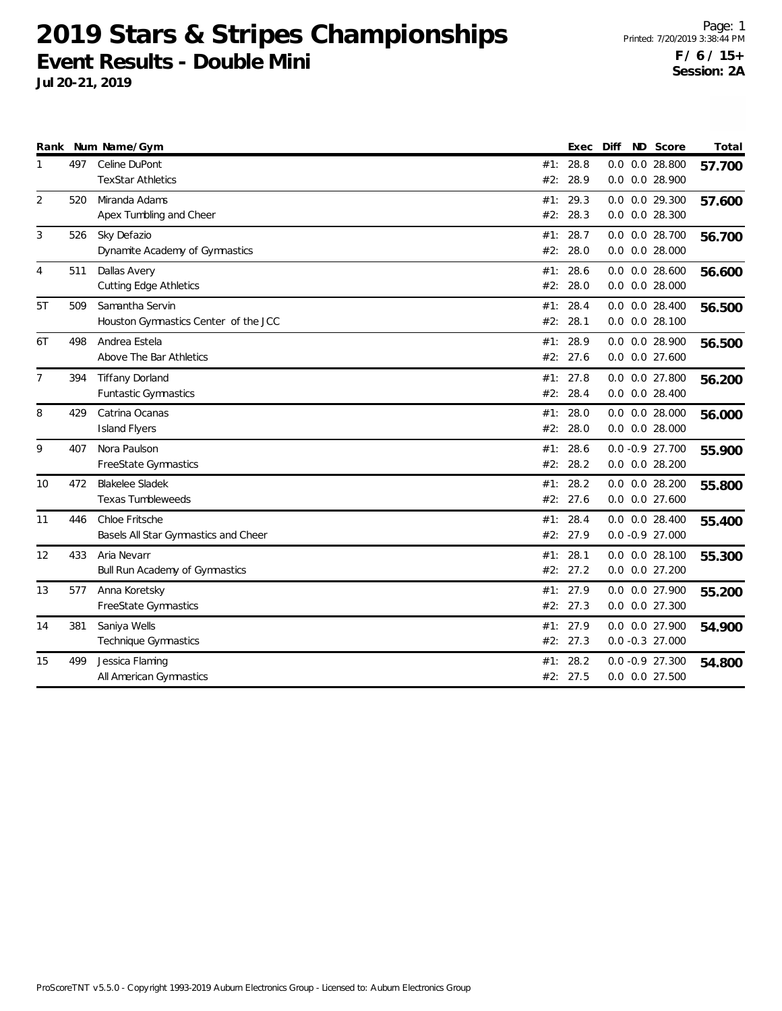|                |     | Rank Num Name/Gym                                       |            | Exec                 | Diff | ND Score                                   | Total  |
|----------------|-----|---------------------------------------------------------|------------|----------------------|------|--------------------------------------------|--------|
| 1              | 497 | Celine DuPont<br><b>TexStar Athletics</b>               | #2:        | #1: 28.8<br>28.9     | 0.0  | $0.0$ 28.800<br>0.0 0.0 28.900             | 57.700 |
| 2              | 520 | Miranda Adams<br>Apex Tumbling and Cheer                | #2:        | #1: 29.3<br>28.3     |      | $0.0$ $0.0$ 29.300<br>$0.0$ $0.0$ 28.300   | 57.600 |
| 3              | 526 | Sky Defazio<br>Dynamite Academy of Gymnastics           | #1:<br>#2: | 28.7<br>28.0         |      | $0.0$ $0.0$ 28.700<br>$0.0$ $0.0$ 28.000   | 56.700 |
| 4              | 511 | Dallas Avery<br><b>Cutting Edge Athletics</b>           | #1:<br>#2: | 28.6<br>28.0         |      | $0.0$ $0.0$ 28.600<br>$0.0$ $0.0$ 28.000   | 56.600 |
| 5T             | 509 | Samantha Servin<br>Houston Gymnastics Center of the JCC | #1:<br>#2: | 28.4<br>28.1         |      | $0.0$ $0.0$ 28.400<br>$0.0$ $0.0$ 28.100   | 56.500 |
| 6T             | 498 | Andrea Estela<br>Above The Bar Athletics                | #1:        | 28.9<br>#2: 27.6     |      | 0.0 0.0 28.900<br>$0.0$ $0.0$ 27.600       | 56.500 |
| $\overline{7}$ | 394 | <b>Tiffany Dorland</b><br>Funtastic Gymnastics          | #2:        | #1: 27.8<br>28.4     |      | $0.0$ $0.0$ 27.800<br>$0.0$ $0.0$ 28.400   | 56.200 |
| 8              | 429 | Catrina Ocanas<br><b>Island Flyers</b>                  | #1:<br>#2: | 28.0<br>28.0         |      | $0.0$ $0.0$ 28.000<br>$0.0$ $0.0$ 28.000   | 56.000 |
| 9              | 407 | Nora Paulson<br>FreeState Gymnastics                    | #1:        | 28.6<br>#2: 28.2     |      | $0.0 - 0.9 27.700$<br>$0.0$ $0.0$ 28.200   | 55.900 |
| 10             | 472 | <b>Blakelee Sladek</b><br><b>Texas Tumbleweeds</b>      | #1:<br>#2: | 28.2<br>27.6         |      | $0.0$ $0.0$ 28.200<br>$0.0$ $0.0$ 27.600   | 55.800 |
| 11             | 446 | Chloe Fritsche<br>Basels All Star Gymnastics and Cheer  | #1:        | 28.4<br>#2: 27.9     |      | $0.0$ $0.0$ 28.400<br>$0.0 - 0.9 27.000$   | 55.400 |
| 12             | 433 | Aria Nevarr<br>Bull Run Academy of Gymnastics           | #1:<br>#2: | 28.1<br>27.2         |      | $0.0$ $0.0$ 28.100<br>$0.0$ $0.0$ $27.200$ | 55.300 |
| 13             | 577 | Anna Koretsky<br>FreeState Gymnastics                   | #1:        | 27.9<br>#2: 27.3     |      | 0.0 0.0 27.900<br>$0.0$ $0.0$ 27.300       | 55.200 |
| 14             | 381 | Saniya Wells<br>Technique Gymnastics                    |            | #1: 27.9<br>#2: 27.3 |      | 0.0 0.0 27.900<br>$0.0 - 0.3 27.000$       | 54.900 |
| 15             | 499 | Jessica Flaming<br>All American Gymnastics              | #1:        | 28.2<br>#2: 27.5     |      | $0.0 - 0.9 27.300$<br>$0.0$ $0.0$ 27.500   | 54.800 |